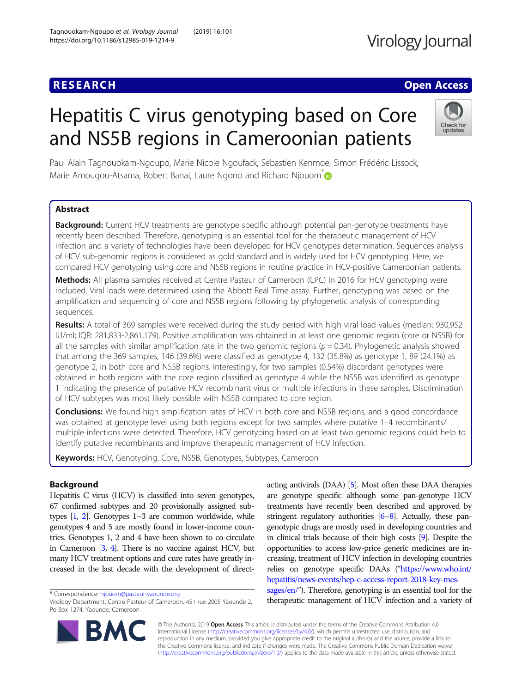## **RESEARCH CHE Open Access**

# Hepatitis C virus genotyping based on Core and NS5B regions in Cameroonian patients



Paul Alain Tagnouokam-Ngoupo, Marie Nicole Ngoufack, Sebastien Kenmoe, Simon Frédéric Lissock, Marie Amougou-Atsama, Robert Banai, Laure Ngono and Richard Njouom<sup>®</sup>

### Abstract

**Background:** Current HCV treatments are genotype specific although potential pan-genotype treatments have recently been described. Therefore, genotyping is an essential tool for the therapeutic management of HCV infection and a variety of technologies have been developed for HCV genotypes determination. Sequences analysis of HCV sub-genomic regions is considered as gold standard and is widely used for HCV genotyping. Here, we compared HCV genotyping using core and NS5B regions in routine practice in HCV-positive Cameroonian patients.

Methods: All plasma samples received at Centre Pasteur of Cameroon (CPC) in 2016 for HCV genotyping were included. Viral loads were determined using the Abbott Real Time assay. Further, genotyping was based on the amplification and sequencing of core and NS5B regions following by phylogenetic analysis of corresponding sequences.

Results: A total of 369 samples were received during the study period with high viral load values (median: 930,952 IU/ml; IQR: 281,833-2,861,179). Positive amplification was obtained in at least one genomic region (core or NS5B) for all the samples with similar amplification rate in the two genomic regions ( $p = 0.34$ ). Phylogenetic analysis showed that among the 369 samples, 146 (39.6%) were classified as genotype 4, 132 (35.8%) as genotype 1, 89 (24.1%) as genotype 2, in both core and NS5B regions. Interestingly, for two samples (0.54%) discordant genotypes were obtained in both regions with the core region classified as genotype 4 while the NS5B was identified as genotype 1 indicating the presence of putative HCV recombinant virus or multiple infections in these samples. Discrimination of HCV subtypes was most likely possible with NS5B compared to core region.

**Conclusions:** We found high amplification rates of HCV in both core and NS5B regions, and a good concordance was obtained at genotype level using both regions except for two samples where putative 1–4 recombinants/ multiple infections were detected. Therefore, HCV genotyping based on at least two genomic regions could help to identify putative recombinants and improve therapeutic management of HCV infection.

Keywords: HCV, Genotyping, Core, NS5B, Genotypes, Subtypes, Cameroon

### Background

Hepatitis C virus (HCV) is classified into seven genotypes, 67 confirmed subtypes and 20 provisionally assigned subtypes [\[1,](#page-6-0) [2](#page-6-0)]. Genotypes 1–3 are common worldwide, while genotypes 4 and 5 are mostly found in lower-income countries. Genotypes 1, 2 and 4 have been shown to co-circulate in Cameroon [[3](#page-6-0), [4\]](#page-6-0). There is no vaccine against HCV, but many HCV treatment options and cure rates have greatly increased in the last decade with the development of direct-

\* Correspondence: [njouom@pasteur-yaounde.org](mailto:njouom@pasteur-yaounde.org)

acting antivirals (DAA) [\[5](#page-6-0)]. Most often these DAA therapies are genotype specific although some pan-genotype HCV treatments have recently been described and approved by stringent regulatory authorities [\[6](#page-6-0)–[8](#page-6-0)]. Actually, these pangenotypic drugs are mostly used in developing countries and in clinical trials because of their high costs [\[9](#page-6-0)]. Despite the opportunities to access low-price generic medicines are increasing, treatment of HCV infection in developing countries relies on genotype specific DAAs ("[https://www.who.int/](https://www.who.int/hepatitis/news-events/hep-c-access-report-2018-key-messages/en/) [hepatitis/news-events/hep-c-access-report-2018-key-mes-](https://www.who.int/hepatitis/news-events/hep-c-access-report-2018-key-messages/en/)

[sages/en/](https://www.who.int/hepatitis/news-events/hep-c-access-report-2018-key-messages/en/)"). Therefore, genotyping is an essential tool for the therapeutic management of HCV infection and a variety of



© The Author(s). 2019 Open Access This article is distributed under the terms of the Creative Commons Attribution 4.0 International License [\(http://creativecommons.org/licenses/by/4.0/](http://creativecommons.org/licenses/by/4.0/)), which permits unrestricted use, distribution, and reproduction in any medium, provided you give appropriate credit to the original author(s) and the source, provide a link to the Creative Commons license, and indicate if changes were made. The Creative Commons Public Domain Dedication waiver [\(http://creativecommons.org/publicdomain/zero/1.0/](http://creativecommons.org/publicdomain/zero/1.0/)) applies to the data made available in this article, unless otherwise stated.

Virology Department, Centre Pasteur of Cameroon, 451 rue 2005 Yaounde 2, Po Box 1274, Yaounde, Cameroon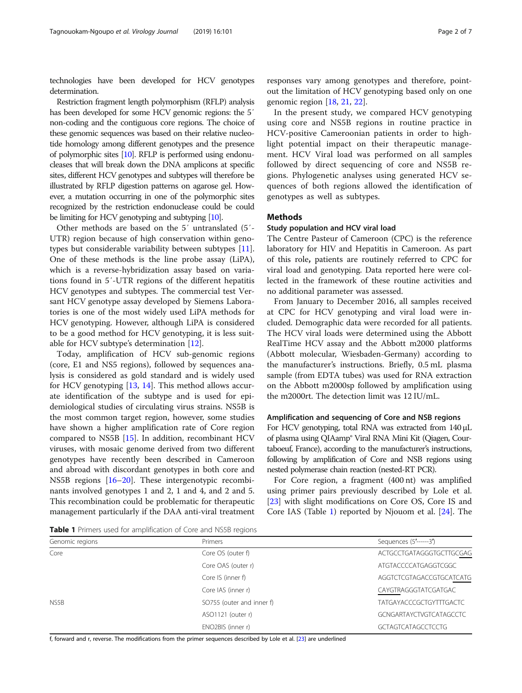technologies have been developed for HCV genotypes determination.

Restriction fragment length polymorphism (RFLP) analysis has been developed for some HCV genomic regions: the 5′ non-coding and the contiguous core regions. The choice of these genomic sequences was based on their relative nucleotide homology among different genotypes and the presence of polymorphic sites [\[10](#page-6-0)]. RFLP is performed using endonucleases that will break down the DNA amplicons at specific sites, different HCV genotypes and subtypes will therefore be illustrated by RFLP digestion patterns on agarose gel. However, a mutation occurring in one of the polymorphic sites recognized by the restriction endonuclease could be could be limiting for HCV genotyping and subtyping [\[10\]](#page-6-0).

Other methods are based on the 5′ untranslated (5′- UTR) region because of high conservation within genotypes but considerable variability between subtypes [\[11](#page-6-0)]. One of these methods is the line probe assay (LiPA), which is a reverse-hybridization assay based on variations found in 5′-UTR regions of the different hepatitis HCV genotypes and subtypes. The commercial test Versant HCV genotype assay developed by Siemens Laboratories is one of the most widely used LiPA methods for HCV genotyping. However, although LiPA is considered to be a good method for HCV genotyping, it is less suitable for HCV subtype's determination [\[12](#page-6-0)].

Today, amplification of HCV sub-genomic regions (core, E1 and NS5 regions), followed by sequences analysis is considered as gold standard and is widely used for HCV genotyping [[13,](#page-6-0) [14](#page-6-0)]. This method allows accurate identification of the subtype and is used for epidemiological studies of circulating virus strains. NS5B is the most common target region, however, some studies have shown a higher amplification rate of Core region compared to NS5B [\[15\]](#page-6-0). In addition, recombinant HCV viruses, with mosaic genome derived from two different genotypes have recently been described in Cameroon and abroad with discordant genotypes in both core and NS5B regions [[16](#page-6-0)–[20](#page-6-0)]. These intergenotypic recombinants involved genotypes 1 and 2, 1 and 4, and 2 and 5. This recombination could be problematic for therapeutic management particularly if the DAA anti-viral treatment

In the present study, we compared HCV genotyping using core and NS5B regions in routine practice in HCV-positive Cameroonian patients in order to highlight potential impact on their therapeutic management. HCV Viral load was performed on all samples followed by direct sequencing of core and NS5B regions. Phylogenetic analyses using generated HCV sequences of both regions allowed the identification of genotypes as well as subtypes.

#### Methods

#### Study population and HCV viral load

The Centre Pasteur of Cameroon (CPC) is the reference laboratory for HIV and Hepatitis in Cameroon. As part of this role, patients are routinely referred to CPC for viral load and genotyping. Data reported here were collected in the framework of these routine activities and no additional parameter was assessed.

From January to December 2016, all samples received at CPC for HCV genotyping and viral load were included. Demographic data were recorded for all patients. The HCV viral loads were determined using the Abbott RealTime HCV assay and the Abbott m2000 platforms (Abbott molecular, Wiesbaden-Germany) according to the manufacturer's instructions. Briefly, 0.5 mL plasma sample (from EDTA tubes) was used for RNA extraction on the Abbott m2000sp followed by amplification using the m2000rt. The detection limit was 12 IU/mL.

#### Amplification and sequencing of Core and NSB regions

For HCV genotyping, total RNA was extracted from 140 μL of plasma using QIAamp® Viral RNA Mini Kit (Qiagen, Courtaboeuf, France), according to the manufacturer's instructions, following by amplification of Core and NSB regions using nested polymerase chain reaction (nested-RT PCR).

For Core region, a fragment (400 nt) was amplified using primer pairs previously described by Lole et al. [[23\]](#page-6-0) with slight modifications on Core OS, Core IS and Core IAS (Table 1) reported by Njouom et al. [[24](#page-6-0)]. The

Table 1 Primers used for amplification of Core and NS5B regions

| Genomic regions | Primers                   | Sequences (5'------3')         |
|-----------------|---------------------------|--------------------------------|
| Core            | Core OS (outer f)         | ACTGCCTGATAGGGTGCTTGCGAG       |
|                 | Core OAS (outer r)        | ATGTACCCCATGAGGTCGGC           |
|                 | Core IS (inner f)         | AGGTCTCGTAGACCGTGCATCATG       |
|                 | Core IAS (inner r)        | CAYGTRAGGGTATCGATGAC           |
| NS5B            | SO755 (outer and inner f) | <b>TATGAYACCCGCTGYTTTGACTC</b> |
|                 | ASO1121 (outer r)         | <b>GCNGARTAYCTVGTCATAGCCTC</b> |
|                 | ENO2BIS (inner r)         | <b>GCTAGTCATAGCCTCCTG</b>      |
|                 |                           |                                |

f, forward and r, reverse. The modifications from the primer sequences described by Lole et al. [\[23\]](#page-6-0) are underlined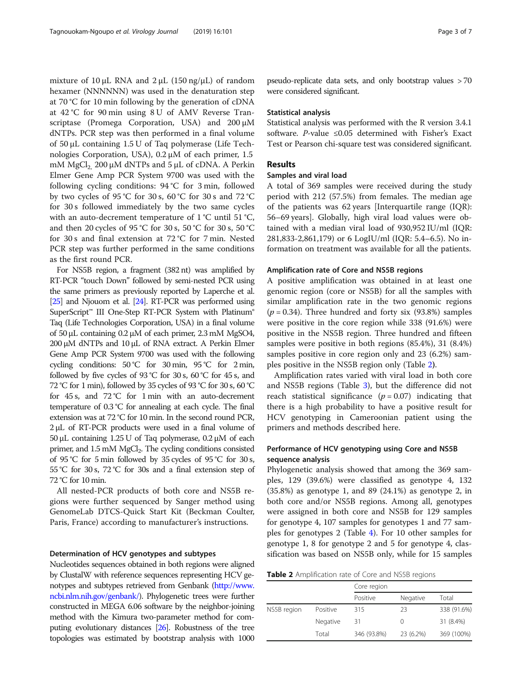mixture of  $10 \mu L$  RNA and  $2 \mu L$  ( $150 \text{ ng}/\mu L$ ) of random hexamer (NNNNNN) was used in the denaturation step at 70 °C for 10 min following by the generation of cDNA at 42 °C for 90 min using 8 U of AMV Reverse Transcriptase (Promega Corporation, USA) and 200 μM dNTPs. PCR step was then performed in a final volume of 50 μL containing 1.5 U of Taq polymerase (Life Technologies Corporation, USA), 0.2 μM of each primer, 1.5 mM  $MgCl<sub>2</sub>$  200 μM dNTPs and 5 μL of cDNA. A Perkin Elmer Gene Amp PCR System 9700 was used with the following cycling conditions: 94 °C for 3 min, followed by two cycles of 95 °C for 30 s, 60 °C for 30 s and 72 °C for 30 s followed immediately by the two same cycles with an auto-decrement temperature of 1 °C until 51 °C, and then 20 cycles of 95 °C for 30 s, 50 °C for 30 s, 50 °C for 30 s and final extension at 72 °C for 7 min. Nested PCR step was further performed in the same conditions as the first round PCR.

For NS5B region, a fragment (382 nt) was amplified by RT-PCR "touch Down" followed by semi-nested PCR using the same primers as previously reported by Laperche et al. [[25\]](#page-6-0) and Njouom et al. [[24\]](#page-6-0). RT-PCR was performed using SuperScript<sup>™</sup> III One-Step RT-PCR System with Platinum® Taq (Life Technologies Corporation, USA) in a final volume of 50 μL containing 0.2 μM of each primer, 2.3 mM MgSO4, 200 μM dNTPs and 10 μL of RNA extract. A Perkin Elmer Gene Amp PCR System 9700 was used with the following cycling conditions:  $50^{\circ}$ C for  $30 \text{ min}$ ,  $95^{\circ}$ C for  $2 \text{ min}$ , followed by five cycles of 93 °C for 30 s, 60 °C for 45 s, and 72 °C for 1 min), followed by 35 cycles of 93 °C for 30 s, 60 °C for 45 s, and 72 °C for 1 min with an auto-decrement temperature of 0.3 °C for annealing at each cycle. The final extension was at 72 °C for 10 min. In the second round PCR, 2 μL of RT-PCR products were used in a final volume of 50 μL containing 1.25 U of Taq polymerase, 0.2 μM of each primer, and 1.5 mM MgCl<sub>2</sub>. The cycling conditions consisted of 95 °C for 5 min followed by 35 cycles of 95 °C for 30 s, 55 °C for 30 s, 72 °C for 30s and a final extension step of 72 °C for 10 min.

All nested-PCR products of both core and NS5B regions were further sequenced by Sanger method using GenomeLab DTCS-Quick Start Kit (Beckman Coulter, Paris, France) according to manufacturer's instructions.

#### Determination of HCV genotypes and subtypes

Nucleotides sequences obtained in both regions were aligned by ClustalW with reference sequences representing HCV genotypes and subtypes retrieved from Genbank ([http://www.](http://www.ncbi.nlm.nih.gov/genbank/) [ncbi.nlm.nih.gov/genbank/\)](http://www.ncbi.nlm.nih.gov/genbank/). Phylogenetic trees were further constructed in MEGA 6.06 software by the neighbor-joining method with the Kimura two-parameter method for computing evolutionary distances [\[26\]](#page-6-0). Robustness of the tree topologies was estimated by bootstrap analysis with 1000

pseudo-replicate data sets, and only bootstrap values > 70 were considered significant.

#### Statistical analysis

Statistical analysis was performed with the R version 3.4.1 software. P-value ≤0.05 determined with Fisher's Exact Test or Pearson chi-square test was considered significant.

#### Results

#### Samples and viral load

A total of 369 samples were received during the study period with 212 (57.5%) from females. The median age of the patients was 62 years [Interquartile range (IQR): 56–69 years]. Globally, high viral load values were obtained with a median viral load of 930,952 IU/ml (IQR: 281,833-2,861,179) or 6 LogIU/ml (IQR: 5.4–6.5). No information on treatment was available for all the patients.

#### Amplification rate of Core and NS5B regions

A positive amplification was obtained in at least one genomic region (core or NS5B) for all the samples with similar amplification rate in the two genomic regions  $(p = 0.34)$ . Three hundred and forty six (93.8%) samples were positive in the core region while 338 (91.6%) were positive in the NS5B region. Three hundred and fifteen samples were positive in both regions (85.4%), 31 (8.4%) samples positive in core region only and 23 (6.2%) samples positive in the NS5B region only (Table 2).

Amplification rates varied with viral load in both core and NS5B regions (Table [3](#page-3-0)), but the difference did not reach statistical significance  $(p = 0.07)$  indicating that there is a high probability to have a positive result for HCV genotyping in Cameroonian patient using the primers and methods described here.

#### Performance of HCV genotyping using Core and NS5B sequence analysis

Phylogenetic analysis showed that among the 369 samples, 129 (39.6%) were classified as genotype 4, 132 (35.8%) as genotype 1, and 89 (24.1%) as genotype 2, in both core and/or NS5B regions. Among all, genotypes were assigned in both core and NS5B for 129 samples for genotype 4, 107 samples for genotypes 1 and 77 samples for genotypes 2 (Table [4\)](#page-3-0). For 10 other samples for genotype 1, 8 for genotype 2 and 5 for genotype 4, classification was based on NS5B only, while for 15 samples

Table 2 Amplification rate of Core and NS5B regions

|             |          | Core region |           |             |  |  |
|-------------|----------|-------------|-----------|-------------|--|--|
|             |          | Positive    | Negative  | Total       |  |  |
| NS5B region | Positive | 315         | 23        | 338 (91.6%) |  |  |
|             | Negative | 31          | $^{(1)}$  | 31 (8.4%)   |  |  |
|             | Total    | 346 (93.8%) | 23 (6.2%) | 369 (100%)  |  |  |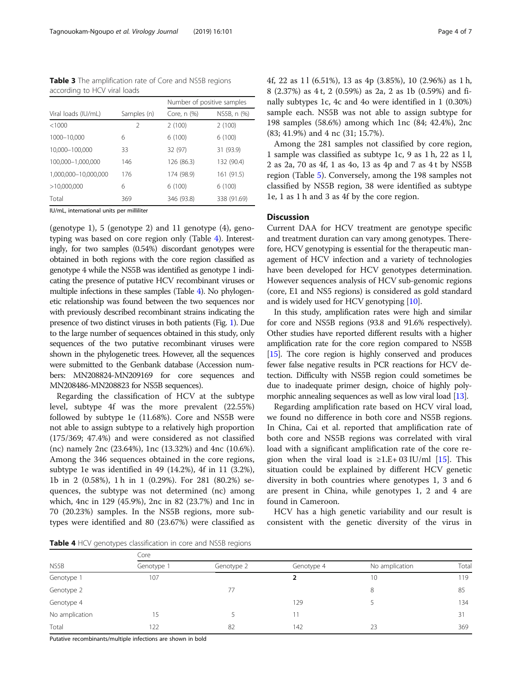<span id="page-3-0"></span>Table 3 The amplification rate of Core and NS5B regions according to HCV viral loads

|                      |             | Number of positive samples |             |  |
|----------------------|-------------|----------------------------|-------------|--|
| Viral loads (IU/mL)  | Samples (n) | Core, n (%)                | NS5B, n (%) |  |
| <1000                | 2           | 2(100)                     | 2(100)      |  |
| 1000-10,000          | 6           | 6(100)                     | 6(100)      |  |
| 10,000-100,000       | 33          | 32 (97)                    | 31 (93.9)   |  |
| 100,000-1,000,000    | 146         | 126 (86.3)                 | 132 (90.4)  |  |
| 1,000,000-10,000,000 | 176         | 174 (98.9)                 | 161 (91.5)  |  |
| >10,000,000          | 6           | 6(100)                     | 6(100)      |  |
| Total                | 369         | 346 (93.8)                 | 338 (91.69) |  |

IU/mL, international units per milliliter

(genotype 1), 5 (genotype 2) and 11 genotype (4), genotyping was based on core region only (Table 4). Interestingly, for two samples (0.54%) discordant genotypes were obtained in both regions with the core region classified as genotype 4 while the NS5B was identified as genotype 1 indicating the presence of putative HCV recombinant viruses or multiple infections in these samples (Table 4). No phylogenetic relationship was found between the two sequences nor with previously described recombinant strains indicating the presence of two distinct viruses in both patients (Fig. [1\)](#page-4-0). Due to the large number of sequences obtained in this study, only sequences of the two putative recombinant viruses were shown in the phylogenetic trees. However, all the sequences were submitted to the Genbank database (Accession numbers: MN208824-MN209169 for core sequences and MN208486-MN208823 for NS5B sequences).

Regarding the classification of HCV at the subtype level, subtype 4f was the more prevalent (22.55%) followed by subtype 1e (11.68%). Core and NS5B were not able to assign subtype to a relatively high proportion (175/369; 47.4%) and were considered as not classified (nc) namely 2nc (23.64%), 1nc (13.32%) and 4nc (10.6%). Among the 346 sequences obtained in the core regions, subtype 1e was identified in 49 (14.2%), 4f in 11 (3.2%), 1b in 2 (0.58%), 1 h in 1 (0.29%). For 281 (80.2%) sequences, the subtype was not determined (nc) among which, 4nc in 129 (45.9%), 2nc in 82 (23.7%) and 1nc in 70 (20.23%) samples. In the NS5B regions, more subtypes were identified and 80 (23.67%) were classified as 4f, 22 as 1 l (6.51%), 13 as 4p (3.85%), 10 (2.96%) as 1 h, 8 (2.37%) as 4 t, 2 (0.59%) as 2a, 2 as 1b (0.59%) and finally subtypes 1c, 4c and 4o were identified in 1 (0.30%) sample each. NS5B was not able to assign subtype for 198 samples (58.6%) among which 1nc (84; 42.4%), 2nc (83; 41.9%) and 4 nc (31; 15.7%).

Among the 281 samples not classified by core region, 1 sample was classified as subtype 1c, 9 as 1 h, 22 as 1 l, 2 as 2a, 70 as 4f, 1 as 4o, 13 as 4p and 7 as 4 t by NS5B region (Table [5\)](#page-5-0). Conversely, among the 198 samples not classified by NS5B region, 38 were identified as subtype 1e, 1 as 1 h and 3 as 4f by the core region.

#### **Discussion**

Current DAA for HCV treatment are genotype specific and treatment duration can vary among genotypes. Therefore, HCV genotyping is essential for the therapeutic management of HCV infection and a variety of technologies have been developed for HCV genotypes determination. However sequences analysis of HCV sub-genomic regions (core, E1 and NS5 regions) is considered as gold standard and is widely used for HCV genotyping [\[10\]](#page-6-0).

In this study, amplification rates were high and similar for core and NS5B regions (93.8 and 91.6% respectively). Other studies have reported different results with a higher amplification rate for the core region compared to NS5B [[15](#page-6-0)]. The core region is highly conserved and produces fewer false negative results in PCR reactions for HCV detection. Difficulty with NS5B region could sometimes be due to inadequate primer design, choice of highly poly-morphic annealing sequences as well as low viral load [\[13\]](#page-6-0).

Regarding amplification rate based on HCV viral load, we found no difference in both core and NS5B regions. In China, Cai et al. reported that amplification rate of both core and NS5B regions was correlated with viral load with a significant amplification rate of the core re-gion when the viral load is ≥1.E+03 IU/ml [\[15](#page-6-0)]. This situation could be explained by different HCV genetic diversity in both countries where genotypes 1, 3 and 6 are present in China, while genotypes 1, 2 and 4 are found in Cameroon.

HCV has a high genetic variability and our result is consistent with the genetic diversity of the virus in

Table 4 HCV genotypes classification in core and NS5B regions

| NS5B           | Core       |            |            |                |       |  |  |  |  |
|----------------|------------|------------|------------|----------------|-------|--|--|--|--|
|                | Genotype 1 | Genotype 2 | Genotype 4 | No amplication | Total |  |  |  |  |
| Genotype 1     | 107        |            |            | 10             | 119   |  |  |  |  |
| Genotype 2     |            | 77         |            | 8              | 85    |  |  |  |  |
| Genotype 4     |            |            | 129        |                | 134   |  |  |  |  |
| No amplication | 15         |            | 11         |                | 31    |  |  |  |  |
| Total          | 122        | 82         | 142        | 23             | 369   |  |  |  |  |

Putative recombinants/multiple infections are shown in bold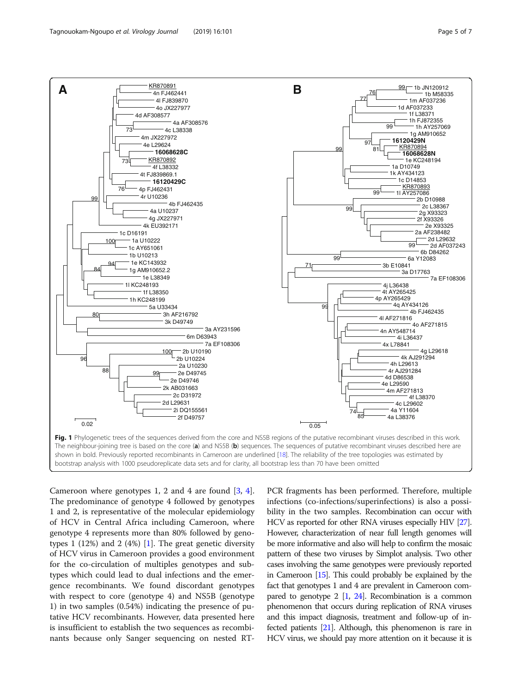<span id="page-4-0"></span>

Cameroon where genotypes 1, 2 and 4 are found [[3,](#page-6-0) [4](#page-6-0)]. The predominance of genotype 4 followed by genotypes 1 and 2, is representative of the molecular epidemiology of HCV in Central Africa including Cameroon, where genotype 4 represents more than 80% followed by genotypes 1 (12%) and 2 (4%) [[1\]](#page-6-0). The great genetic diversity of HCV virus in Cameroon provides a good environment for the co-circulation of multiples genotypes and subtypes which could lead to dual infections and the emergence recombinants. We found discordant genotypes with respect to core (genotype 4) and NS5B (genotype 1) in two samples (0.54%) indicating the presence of putative HCV recombinants. However, data presented here is insufficient to establish the two sequences as recombinants because only Sanger sequencing on nested RT- PCR fragments has been performed. Therefore, multiple infections (co-infections/superinfections) is also a possibility in the two samples. Recombination can occur with HCV as reported for other RNA viruses especially HIV [\[27\]](#page-6-0). However, characterization of near full length genomes will be more informative and also will help to confirm the mosaic pattern of these two viruses by Simplot analysis. Two other cases involving the same genotypes were previously reported in Cameroon [[15\]](#page-6-0). This could probably be explained by the fact that genotypes 1 and 4 are prevalent in Cameroon compared to genotype  $2$  [\[1,](#page-6-0)  $24$ ]. Recombination is a common phenomenon that occurs during replication of RNA viruses and this impact diagnosis, treatment and follow-up of infected patients [[21\]](#page-6-0). Although, this phenomenon is rare in HCV virus, we should pay more attention on it because it is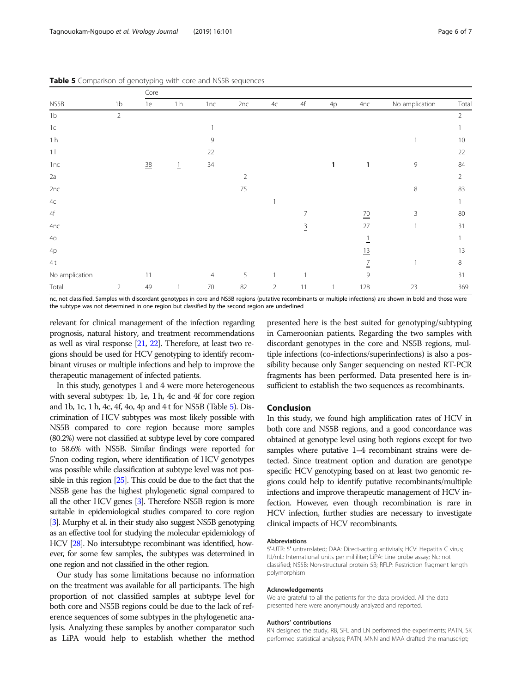|                 |                | Core           |                |                |            |                |                |    |                 |                |                |
|-----------------|----------------|----------------|----------------|----------------|------------|----------------|----------------|----|-----------------|----------------|----------------|
| NS5B            | 1 <sub>b</sub> | 1e             | 1 <sub>h</sub> | 1nc            | 2nc        | 4c             | $4\mathsf{f}$  | 4p | 4nc             | No amplication | Total          |
| 1 <sub>b</sub>  | $\sqrt{2}$     |                |                |                |            |                |                |    |                 |                | $\overline{2}$ |
| 1 <sup>c</sup>  |                |                |                |                |            |                |                |    |                 |                |                |
| 1 <sub>h</sub>  |                |                |                | 9              |            |                |                |    |                 |                | 10             |
| 1 <sub>1</sub>  |                |                |                | 22             |            |                |                |    |                 |                | 22             |
| 1nc             |                | $\frac{38}{1}$ | $\overline{1}$ | 34             |            |                |                | 1  | 1               | 9              | 84             |
| 2a              |                |                |                |                | $\sqrt{2}$ |                |                |    |                 |                | $\overline{2}$ |
| 2nc             |                |                |                |                | 75         |                |                |    |                 | 8              | 83             |
| $4\mathrm{C}$   |                |                |                |                |            |                |                |    |                 |                |                |
| $4\mathsf{f}$   |                |                |                |                |            |                | $\overline{7}$ |    | $\overline{20}$ | 3              | 80             |
| 4nc             |                |                |                |                |            |                | $\overline{3}$ |    | 27              |                | 31             |
| 40 <sub>o</sub> |                |                |                |                |            |                |                |    |                 |                |                |
| 4p              |                |                |                |                |            |                |                |    | $\overline{13}$ |                | 13             |
| 4t              |                |                |                |                |            |                |                |    | $\overline{1}$  |                | $\,8\,$        |
| No amplication  |                | 11             |                | $\overline{4}$ | 5          |                |                |    | 9               |                | 31             |
| Total           | $\overline{2}$ | 49             | $\mathbf{1}$   | 70             | 82         | $\overline{2}$ | 11             |    | 128             | 23             | 369            |

<span id="page-5-0"></span>Table 5 Comparison of genotyping with core and NS5B sequences

nc, not classified. Samples with discordant genotypes in core and NS5B regions (putative recombinants or multiple infections) are shown in bold and those were the subtype was not determined in one region but classified by the second region are underlined

relevant for clinical management of the infection regarding prognosis, natural history, and treatment recommendations as well as viral response [[21,](#page-6-0) [22](#page-6-0)]. Therefore, at least two regions should be used for HCV genotyping to identify recombinant viruses or multiple infections and help to improve the therapeutic management of infected patients.

In this study, genotypes 1 and 4 were more heterogeneous with several subtypes: 1b, 1e, 1 h, 4c and 4f for core region and 1b, 1c, 1 h, 4c, 4f, 4o, 4p and 4 t for NS5B (Table 5). Discrimination of HCV subtypes was most likely possible with NS5B compared to core region because more samples (80.2%) were not classified at subtype level by core compared to 58.6% with NS5B. Similar findings were reported for 5'non coding region, where identification of HCV genotypes was possible while classification at subtype level was not possible in this region [\[25](#page-6-0)]. This could be due to the fact that the NS5B gene has the highest phylogenetic signal compared to all the other HCV genes [[3](#page-6-0)]. Therefore NS5B region is more suitable in epidemiological studies compared to core region [\[3](#page-6-0)]. Murphy et al. in their study also suggest NS5B genotyping as an effective tool for studying the molecular epidemiology of HCV [\[28\]](#page-6-0). No intersubtype recombinant was identified, however, for some few samples, the subtypes was determined in one region and not classified in the other region.

Our study has some limitations because no information on the treatment was available for all participants. The high proportion of not classified samples at subtype level for both core and NS5B regions could be due to the lack of reference sequences of some subtypes in the phylogenetic analysis. Analyzing these samples by another comparator such as LiPA would help to establish whether the method

presented here is the best suited for genotyping/subtyping in Cameroonian patients. Regarding the two samples with discordant genotypes in the core and NS5B regions, multiple infections (co-infections/superinfections) is also a possibility because only Sanger sequencing on nested RT-PCR fragments has been performed. Data presented here is insufficient to establish the two sequences as recombinants.

#### Conclusion

In this study, we found high amplification rates of HCV in both core and NS5B regions, and a good concordance was obtained at genotype level using both regions except for two samples where putative 1–4 recombinant strains were detected. Since treatment option and duration are genotype specific HCV genotyping based on at least two genomic regions could help to identify putative recombinants/multiple infections and improve therapeutic management of HCV infection. However, even though recombination is rare in HCV infection, further studies are necessary to investigate clinical impacts of HCV recombinants.

#### Abbreviations

5′-UTR: 5′ untranslated; DAA: Direct-acting antivirals; HCV: Hepatitis C virus; IU/mL: International units per milliliter; LiPA: Line probe assay; Nc: not classified; NS5B: Non-structural protein 5B; RFLP: Restriction fragment length polymorphism

#### Acknowledgements

We are grateful to all the patients for the data provided. All the data presented here were anonymously analyzed and reported.

#### Authors' contributions

RN designed the study, RB, SFL and LN performed the experiments; PATN, SK performed statistical analyses; PATN, MNN and MAA drafted the manuscript;